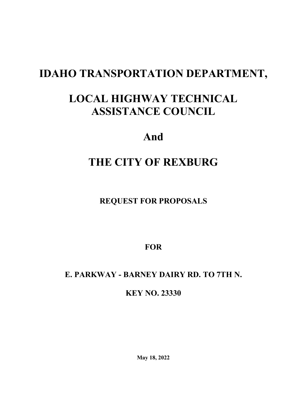# **IDAHO TRANSPORTATION DEPARTMENT,**

# **LOCAL HIGHWAY TECHNICAL ASSISTANCE COUNCIL**

## **And**

# **THE CITY OF REXBURG**

**REQUEST FOR PROPOSALS**

**FOR**

## **E. PARKWAY - BARNEY DAIRY RD. TO 7TH N.**

**KEY NO. 23330**

**May 18, 2022**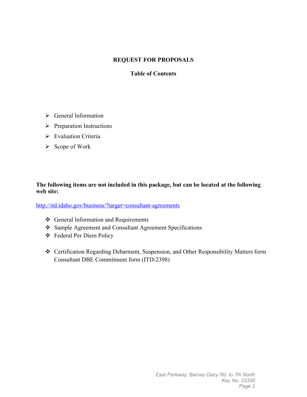#### **REQUEST FOR PROPOSALS**

#### **Table of Contents**

- General Information
- $\triangleright$  Preparation Instructions
- Evaluation Criteria
- $\triangleright$  Scope of Work

#### **The following items are not included in this package, but can be located at the following web site:**

<http://itd.idaho.gov/business/?target=consultant-agreements>

- ❖ General Information and Requirements
- Sample Agreement and Consultant Agreement Specifications
- Federal Per Diem Policy
- Certification Regarding Debarment, Suspension, and Other Responsibility Matters form Consultant DBE Commitment form (ITD-2398)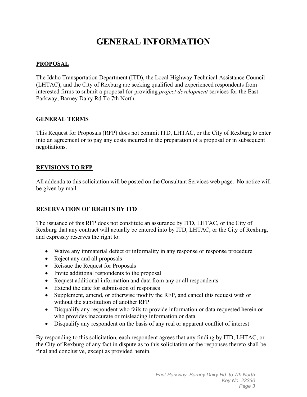## **GENERAL INFORMATION**

#### **PROPOSAL**

The Idaho Transportation Department (ITD), the Local Highway Technical Assistance Council (LHTAC), and the City of Rexburg are seeking qualified and experienced respondents from interested firms to submit a proposal for providing *project development* services for the East Parkway; Barney Dairy Rd To 7th North.

#### **GENERAL TERMS**

This Request for Proposals (RFP) does not commit ITD, LHTAC, or the City of Rexburg to enter into an agreement or to pay any costs incurred in the preparation of a proposal or in subsequent negotiations.

#### **REVISIONS TO RFP**

All addenda to this solicitation will be posted on the Consultant Services web page. No notice will be given by mail.

#### **RESERVATION OF RIGHTS BY ITD**

The issuance of this RFP does not constitute an assurance by ITD, LHTAC, or the City of Rexburg that any contract will actually be entered into by ITD, LHTAC, or the City of Rexburg, and expressly reserves the right to:

- Waive any immaterial defect or informality in any response or response procedure
- Reject any and all proposals
- Reissue the Request for Proposals
- Invite additional respondents to the proposal
- Request additional information and data from any or all respondents
- Extend the date for submission of responses
- Supplement, amend, or otherwise modify the RFP, and cancel this request with or without the substitution of another RFP
- Disqualify any respondent who fails to provide information or data requested herein or who provides inaccurate or misleading information or data
- Disqualify any respondent on the basis of any real or apparent conflict of interest

By responding to this solicitation, each respondent agrees that any finding by ITD, LHTAC, or the City of Rexburg of any fact in dispute as to this solicitation or the responses thereto shall be final and conclusive, except as provided herein.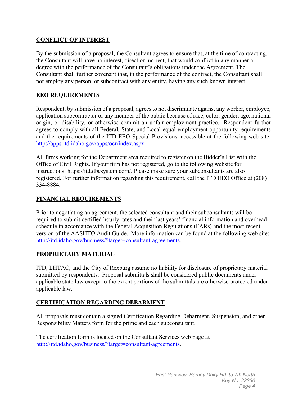#### **CONFLICT OF INTEREST**

By the submission of a proposal, the Consultant agrees to ensure that, at the time of contracting, the Consultant will have no interest, direct or indirect, that would conflict in any manner or degree with the performance of the Consultant's obligations under the Agreement. The Consultant shall further covenant that, in the performance of the contract, the Consultant shall not employ any person, or subcontract with any entity, having any such known interest.

#### **EEO REQUIREMENTS**

Respondent, by submission of a proposal, agrees to not discriminate against any worker, employee, application subcontractor or any member of the public because of race, color, gender, age, national origin, or disability, or otherwise commit an unfair employment practice. Respondent further agrees to comply with all Federal, State, and Local equal employment opportunity requirements and the requirements of the ITD EEO Special Provisions, accessible at the following web site: http://apps.itd.idaho.gov/apps/ocr/index.aspx.

All firms working for the Department area required to register on the Bidder's List with the Office of Civil Rights. If your firm has not registered, go to the following website for instructions: [https://itd.dbesystem.com/.](https://itd.dbesystem.com/) Please make sure your subconsultants are also registered. For further information regarding this requirement, call the ITD EEO Office at (208) 334-8884.

#### **FINANCIAL REQUIREMENTS**

Prior to negotiating an agreement, the selected consultant and their subconsultants will be required to submit certified hourly rates and their last years' financial information and overhead schedule in accordance with the Federal Acquisition Regulations (FARs) and the most recent version of the AASHTO Audit Guide. More information can be found at the following web site: [http://itd.idaho.gov/business/?target=consultant-agreements.](http://itd.idaho.gov/business/?target=consultant-agreements)

#### **PROPRIETARY MATERIAL**

ITD, LHTAC, and the City of Rexburg assume no liability for disclosure of proprietary material submitted by respondents. Proposal submittals shall be considered public documents under applicable state law except to the extent portions of the submittals are otherwise protected under applicable law.

#### **CERTIFICATION REGARDING DEBARMENT**

All proposals must contain a signed Certification Regarding Debarment, Suspension, and other Responsibility Matters form for the prime and each subconsultant.

The certification form is located on the Consultant Services web page at [http://itd.idaho.gov/business/?target=consultant-agreements.](http://itd.idaho.gov/business/?target=consultant-agreements)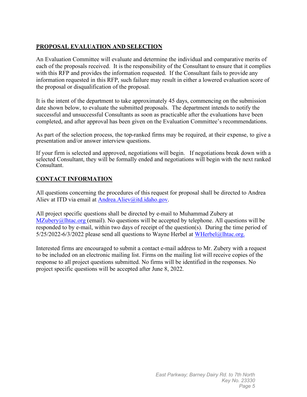#### **PROPOSAL EVALUATION AND SELECTION**

An Evaluation Committee will evaluate and determine the individual and comparative merits of each of the proposals received. It is the responsibility of the Consultant to ensure that it complies with this RFP and provides the information requested. If the Consultant fails to provide any information requested in this RFP, such failure may result in either a lowered evaluation score of the proposal or disqualification of the proposal.

It is the intent of the department to take approximately 45 days, commencing on the submission date shown below, to evaluate the submitted proposals. The department intends to notify the successful and unsuccessful Consultants as soon as practicable after the evaluations have been completed, and after approval has been given on the Evaluation Committee's recommendations.

As part of the selection process, the top-ranked firms may be required, at their expense, to give a presentation and/or answer interview questions.

If your firm is selected and approved, negotiations will begin. If negotiations break down with a selected Consultant, they will be formally ended and negotiations will begin with the next ranked Consultant.

#### **CONTACT INFORMATION**

All questions concerning the procedures of this request for proposal shall be directed to Andrea Aliev at ITD via email at Andrea. Aliev@itd.idaho.gov.

All project specific questions shall be directed by e-mail to Muhammad Zubery at  $MZubery@]htac.org$  (email). No questions will be accepted by telephone. All questions will be responded to by e-mail, within two days of receipt of the question(s). During the time period of 5/25/2022-6/3/2022 please send all questions to Wayne Herbel at WHerbel@lhtac.org.

Interested firms are encouraged to submit a contact e-mail address to Mr. Zubery with a request to be included on an electronic mailing list. Firms on the mailing list will receive copies of the response to all project questions submitted. No firms will be identified in the responses. No project specific questions will be accepted after June 8, 2022.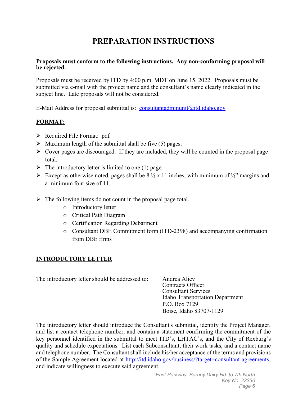## **PREPARATION INSTRUCTIONS**

#### **Proposals must conform to the following instructions. Any non-conforming proposal will be rejected.**

Proposals must be received by ITD by 4:00 p.m. MDT on June 15, 2022. Proposals must be submitted via e-mail with the project name and the consultant's name clearly indicated in the subject line. Late proposals will not be considered.

E-Mail Address for proposal submittal is: [consultantadminunit@itd.idaho.gov](mailto:consultantadminunit@itd.idaho.gov)

#### **FORMAT:**

- $\triangleright$  Required File Format: pdf
- $\triangleright$  Maximum length of the submittal shall be five (5) pages.
- $\triangleright$  Cover pages are discouraged. If they are included, they will be counted in the proposal page total.
- $\triangleright$  The introductory letter is limited to one (1) page.
- Except as otherwise noted, pages shall be  $8\frac{1}{2} \times 11$  inches, with minimum of  $\frac{1}{2}$ " margins and a minimum font size of 11.
- $\triangleright$  The following items do not count in the proposal page total.
	- o Introductory letter
	- o Critical Path Diagram
	- o Certification Regarding Debarment
	- o Consultant DBE Commitment form (ITD-2398) and accompanying confirmation from DBE firms

#### **INTRODUCTORY LETTER**

The introductory letter should be addressed to: Andrea Aliev

Contracts Officer Consultant Services Idaho Transportation Department P.O. Box 7129 Boise, Idaho 83707-1129

The introductory letter should introduce the Consultant's submittal, identify the Project Manager, and list a contact telephone number, and contain a statement confirming the commitment of the key personnel identified in the submittal to meet ITD's, LHTAC's, and the City of Rexburg's quality and schedule expectations. List each Subconsultant, their work tasks, and a contact name and telephone number. The Consultant shall include his/her acceptance of the terms and provisions of the Sample Agreement located at [http://itd.idaho.gov/business/?target=consultant-agreements,](http://itd.idaho.gov/business/?target=consultant-agreements) and indicate willingness to execute said agreement.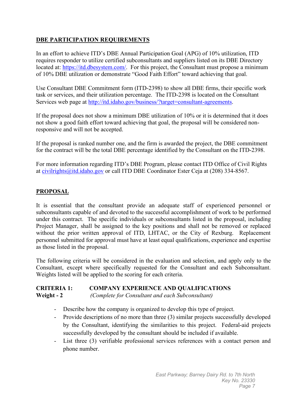#### **DBE PARTICIPATION REQUIREMENTS**

In an effort to achieve ITD's DBE Annual Participation Goal (APG) of 10% utilization, ITD requires responder to utilize certified subconsultants and suppliers listed on its DBE Directory located at: [https://itd.dbesystem.com/.](https://itd.dbesystem.com/) For this project, the Consultant must propose a minimum of 10% DBE utilization or demonstrate "Good Faith Effort" toward achieving that goal.

Use Consultant DBE Commitment form (ITD-2398) to show all DBE firms, their specific work task or services, and their utilization percentage. The ITD-2398 is located on the Consultant Services web page at [http://itd.idaho.gov/business/?target=consultant-agreements.](http://itd.idaho.gov/business/?target=consultant-agreements)

If the proposal does not show a minimum DBE utilization of 10% or it is determined that it does not show a good faith effort toward achieving that goal, the proposal will be considered nonresponsive and will not be accepted.

If the proposal is ranked number one, and the firm is awarded the project, the DBE commitment for the contract will be the total DBE percentage identified by the Consultant on the ITD-2398.

For more information regarding ITD's DBE Program, please contact ITD Office of Civil Rights at [civilrights@itd.idaho.gov](mailto:civilrights@itd.idaho.gov) or call ITD DBE Coordinator Ester Ceja at (208) 334-8567.

#### **PROPOSAL**

It is essential that the consultant provide an adequate staff of experienced personnel or subconsultants capable of and devoted to the successful accomplishment of work to be performed under this contract. The specific individuals or subconsultants listed in the proposal, including Project Manager, shall be assigned to the key positions and shall not be removed or replaced without the prior written approval of ITD, LHTAC, or the City of Rexburg. Replacement personnel submitted for approval must have at least equal qualifications, experience and expertise as those listed in the proposal.

The following criteria will be considered in the evaluation and selection, and apply only to the Consultant, except where specifically requested for the Consultant and each Subconsultant. Weights listed will be applied to the scoring for each criteria.

#### **CRITERIA 1: COMPANY EXPERIENCE AND QUALIFICATIONS Weight - 2** *(Complete for Consultant and each Subconsultant)*

- Describe how the company is organized to develop this type of project.
- Provide descriptions of no more than three (3) similar projects successfully developed by the Consultant, identifying the similarities to this project. Federal-aid projects successfully developed by the consultant should be included if available.
- List three (3) verifiable professional services references with a contact person and phone number.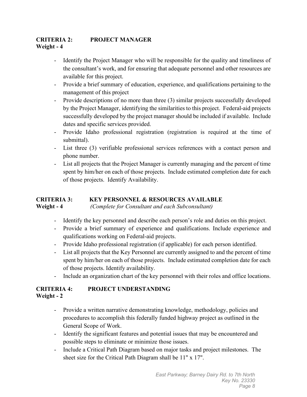#### **CRITERIA 2: PROJECT MANAGER Weight - 4**

- Identify the Project Manager who will be responsible for the quality and timeliness of the consultant's work, and for ensuring that adequate personnel and other resources are available for this project.
- Provide a brief summary of education, experience, and qualifications pertaining to the management of this project
- Provide descriptions of no more than three (3) similar projects successfully developed by the Project Manager, identifying the similarities to this project. Federal-aid projects successfully developed by the project manager should be included if available. Include dates and specific services provided.
- Provide Idaho professional registration (registration is required at the time of submittal).
- List three (3) verifiable professional services references with a contact person and phone number.
- List all projects that the Project Manager is currently managing and the percent of time spent by him/her on each of those projects. Include estimated completion date for each of those projects. Identify Availability.

#### **CRITERIA 3: KEY PERSONNEL & RESOURCES AVAILABLE Weight - 4** *(Complete for Consultant and each Subconsultant)*

- Identify the key personnel and describe each person's role and duties on this project.
- Provide a brief summary of experience and qualifications. Include experience and qualifications working on Federal-aid projects.
- Provide Idaho professional registration (if applicable) for each person identified.
- List all projects that the Key Personnel are currently assigned to and the percent of time spent by him/her on each of those projects. Include estimated completion date for each of those projects. Identify availability.
- Include an organization chart of the key personnel with their roles and office locations.

#### **CRITERIA 4: PROJECT UNDERSTANDING Weight - 2**

- Provide a written narrative demonstrating knowledge, methodology, policies and procedures to accomplish this federally funded highway project as outlined in the General Scope of Work.
- Identify the significant features and potential issues that may be encountered and possible steps to eliminate or minimize those issues.
- Include a Critical Path Diagram based on major tasks and project milestones. The sheet size for the Critical Path Diagram shall be 11" x 17".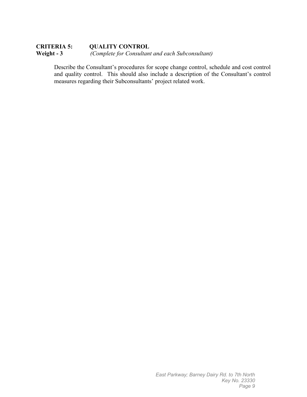#### **CRITERIA 5: QUALITY CONTROL Weight - 3** *(Complete for Consultant and each Subconsultant)*

Describe the Consultant's procedures for scope change control, schedule and cost control and quality control. This should also include a description of the Consultant's control measures regarding their Subconsultants' project related work.